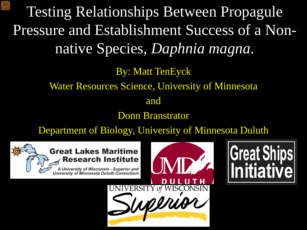Testing Relationships Between Propagule Pressure and Establishment Success of a Nonnative Species, *Daphnia magna*.

> By: Matt TenEyck Water Resources Science, University of Minnesota and

Donn Branstrator

Department of Biology, University of Minnesota Duluth



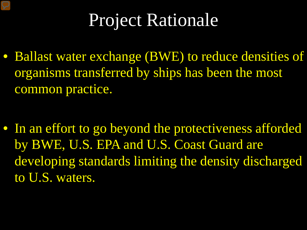## Project Rationale

• Ballast water exchange (BWE) to reduce densities of organisms transferred by ships has been the most common practice.

• In an effort to go beyond the protectiveness afforded by BWE, U.S. EPA and U.S. Coast Guard are developing standards limiting the density discharged to U.S. waters.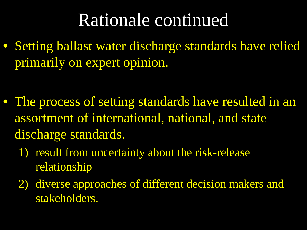### Rationale continued

• Setting ballast water discharge standards have relied primarily on expert opinion.

- The process of setting standards have resulted in an assortment of international, national, and state discharge standards.
	- 1) result from uncertainty about the risk-release relationship
	- 2) diverse approaches of different decision makers and stakeholders.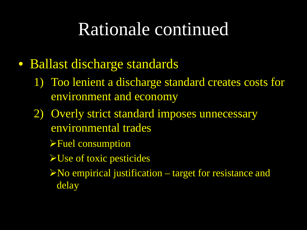### Rationale continued

- Ballast discharge standards
	- 1) Too lenient a discharge standard creates costs for environment and economy
	- 2) Overly strict standard imposes unnecessary environmental trades
		- Fuel consumption
		- $\blacktriangleright$  Use of toxic pesticides
		- $N$ o empirical justification target for resistance and delay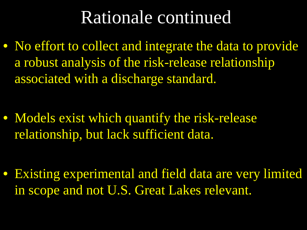### Rationale continued

• No effort to collect and integrate the data to provide a robust analysis of the risk-release relationship associated with a discharge standard.

• Models exist which quantify the risk-release relationship, but lack sufficient data.

• Existing experimental and field data are very limited in scope and not U.S. Great Lakes relevant.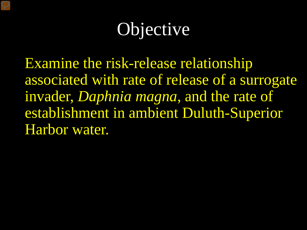## Objective

Examine the risk-release relationship associated with rate of release of a surrogate invader, *Daphnia magna*, and the rate of establishment in ambient Duluth-Superior Harbor water.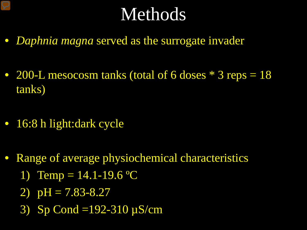### Methods

- *Daphnia magna* served as the surrogate invader
- 200-L mesocosm tanks (total of 6 doses  $*$  3 reps = 18 tanks)
- 16:8 h light:dark cycle
- Range of average physiochemical characteristics
	- 1) Temp =  $14.1 19.6$  °C
	- 2)  $pH = 7.83 8.27$
	- 3) Sp Cond =192-310 µS/cm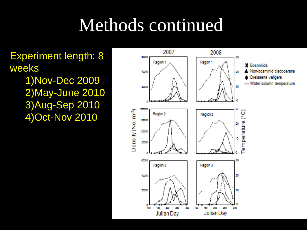### Methods continued

2007

Experiment length: 8 weeks 1)Nov-Dec 2009 2)May-June 2010

3)Aug-Sep 2010

4)Oct-Nov 2010

60000 30 Region 1 Region 1 **Bosminids** Non-bosminid cladocerans 40000 20 Dreissena veligers --- Water column temperature 10 20000 200000 Density (No. m<sup>-3</sup>) စ္ခ Region 2 Region 2 150000 emperature 20 100000 50000 60000 30 Region 3 Region 3 20 40000 10 20000 200 250 200 230 300 100 150 300 100 150 Julian Day Julian Day

2008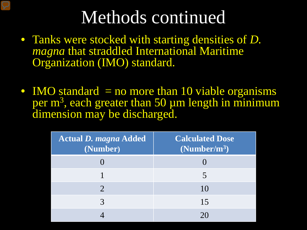### Methods continued

- Tanks were stocked with starting densities of *D. magna* that straddled International Maritime Organization (IMO) standard.
- IMO standard  $=$  no more than 10 viable organisms per  $m<sup>3</sup>$ , each greater than 50  $\mu$ m length in minimum dimension may be discharged.

| <b>Actual D. magna Added</b><br>(Number) | <b>Calculated Dose</b><br>(Number/m <sup>3</sup> ) |
|------------------------------------------|----------------------------------------------------|
|                                          |                                                    |
|                                          | 5                                                  |
|                                          | 10                                                 |
|                                          | 15                                                 |
|                                          |                                                    |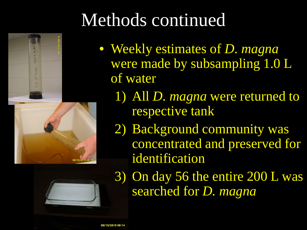# Methods continued

- Weekly estimates of *D. magna* were made by subsampling 1.0 L of water
	- 1) All *D. magna* were returned to respective tank
	- 2) Background community was concentrated and preserved for identification
	- 3) On day 56 the entire 200 L was searched for *D. magna*



08/13/2010 0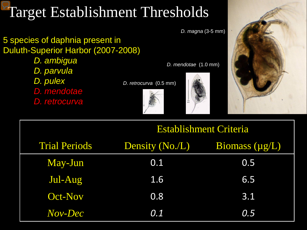### Target Establishment Thresholds

#### 5 species of daphnia present in Duluth-Superior Harbor (2007-2008)

*D. ambigua D. parvula D. pulex D. mendotae D. retrocurva*

*D. retrocurva* (0.5 mm)





*D. mendotae* (1.0 mm)



|                      | <b>Establishment Criteria</b> |                       |
|----------------------|-------------------------------|-----------------------|
| <b>Trial Periods</b> | Density (No./L)               | <b>Biomass</b> (µg/L) |
| May-Jun              | 0.1                           | 0.5                   |
| Jul-Aug              | 1.6                           | 6.5                   |
| <b>Oct-Nov</b>       | 0.8                           | 3.1                   |
| Nov-Dec              | 0.1                           | 0.5                   |

*D. magna* (3-5 mm)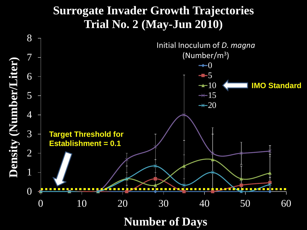### **Surrogate Invader Growth Trajectories Trial No. 2 (May-Jun 2010)**



**Number of Days**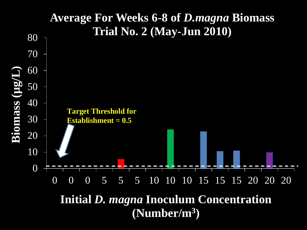

**Initial** *D. magna* **Inoculum Concentration (Number/m3)**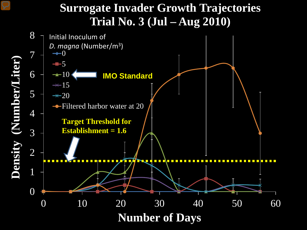#### **Surrogate Invader Growth Trajectories Trial No. 3 (Jul – Aug 2010)**

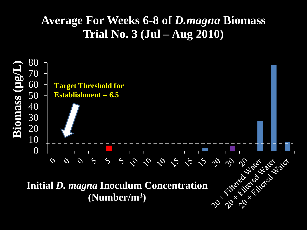### **Average For Weeks 6-8 of** *D.magna* **Biomass Trial No. 3 (Jul – Aug 2010)**

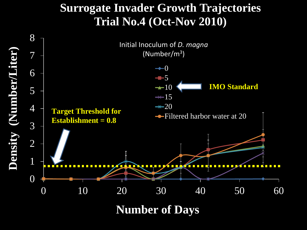#### **Surrogate Invader Growth Trajectories Trial No.4 (Oct-Nov 2010)**

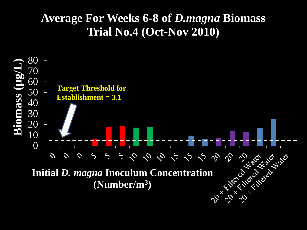#### **Average For Weeks 6-8 of** *D.magna* **Biomass Trial No.4 (Oct-Nov 2010)**

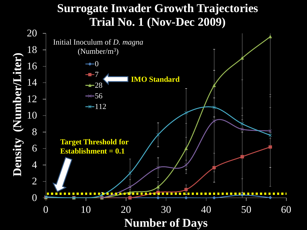#### **Surrogate Invader Growth Trajectories Trial No. 1 (Nov-Dec 2009)**

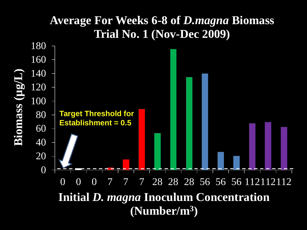#### **Average For Weeks 6-8 of** *D.magna* **Biomass Trial No. 1 (Nov-Dec 2009)**

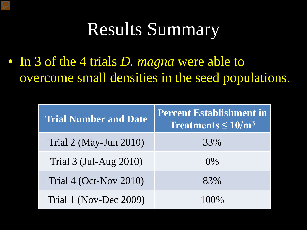### Results Summary

• In 3 of the 4 trials *D. magna* were able to overcome small densities in the seed populations.

| <b>Trial Number and Date</b>            | <b>Percent Establishment in</b><br>Treatments $\leq 10/m^3$ |
|-----------------------------------------|-------------------------------------------------------------|
| Trial $2 \times$ May-Jun $2010$         | 33%                                                         |
| Trial $3 \times 10^{-4}$ (Jul-Aug 2010) | $0\%$                                                       |
| Trial $4$ (Oct-Nov 2010)                | 83%                                                         |
| Trial 1 (Nov-Dec 2009)                  | 100%                                                        |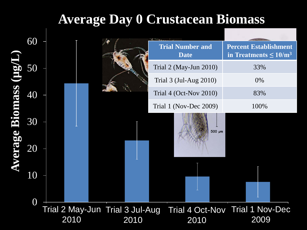### **Average Day 0 Crustacean Biomass**

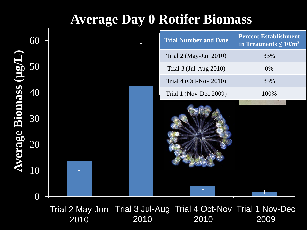### **Average Day 0 Rotifer Biomass**

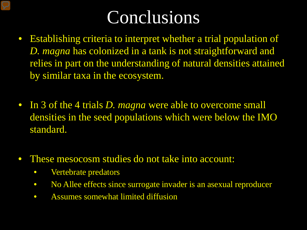### Conclusions

- Establishing criteria to interpret whether a trial population of *D. magna* has colonized in a tank is not straightforward and relies in part on the understanding of natural densities attained by similar taxa in the ecosystem.
- In 3 of the 4 trials *D. magna* were able to overcome small densities in the seed populations which were below the IMO standard.
- These mesocosm studies do not take into account:
	- Vertebrate predators
	- No Allee effects since surrogate invader is an asexual reproducer
	- Assumes somewhat limited diffusion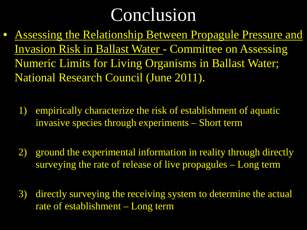### Conclusion

- Assessing the Relationship Between Propagule Pressure and Invasion Risk in Ballast Water - Committee on Assessing Numeric Limits for Living Organisms in Ballast Water; National Research Council (June 2011).
	- 1) empirically characterize the risk of establishment of aquatic invasive species through experiments – Short term
	- 2) ground the experimental information in reality through directly surveying the rate of release of live propagules – Long term
	- 3) directly surveying the receiving system to determine the actual rate of establishment – Long term